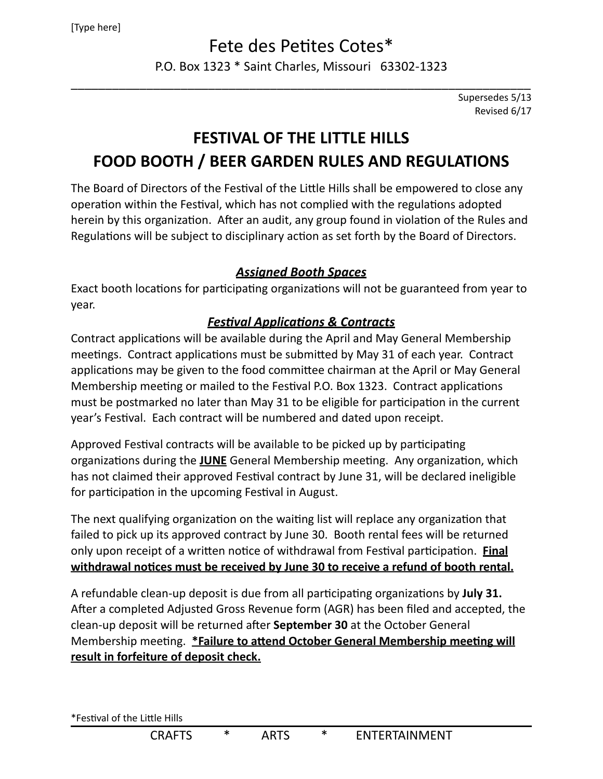# Fete des Petites Cotes\*

P.O. Box 1323 \* Saint Charles, Missouri 63302-1323 \_\_\_\_\_\_\_\_\_\_\_\_\_\_\_\_\_\_\_\_\_\_\_\_\_\_\_\_\_\_\_\_\_\_\_\_\_\_\_\_\_\_\_\_\_\_\_\_\_\_\_\_\_\_\_\_\_\_\_\_\_\_\_\_\_\_\_

> Supersedes 5/13 Revised 6/17

# **FESTIVAL OF THE LITTLE HILLS** FOOD BOOTH / BEER GARDEN RULES AND REGULATIONS

The Board of Directors of the Festival of the Little Hills shall be empowered to close any operation within the Festival, which has not complied with the regulations adopted herein by this organization. After an audit, any group found in violation of the Rules and Regulations will be subject to disciplinary action as set forth by the Board of Directors.

## *Assigned Booth Spaces*

Exact booth locations for participating organizations will not be guaranteed from year to year.

## *Festival Applications & Contracts*

Contract applications will be available during the April and May General Membership meetings. Contract applications must be submitted by May 31 of each year. Contract applications may be given to the food committee chairman at the April or May General Membership meeting or mailed to the Festival P.O. Box 1323. Contract applications must be postmarked no later than May 31 to be eligible for participation in the current year's Festival. Each contract will be numbered and dated upon receipt.

Approved Festival contracts will be available to be picked up by participating organizations during the **JUNE** General Membership meeting. Any organization, which has not claimed their approved Festival contract by June 31, will be declared ineligible for participation in the upcoming Festival in August.

The next qualifying organization on the waiting list will replace any organization that failed to pick up its approved contract by June 30. Booth rental fees will be returned only upon receipt of a written notice of withdrawal from Festival participation. **Final** withdrawal notices must be received by June 30 to receive a refund of booth rental.

A refundable clean-up deposit is due from all participating organizations by July 31. After a completed Adjusted Gross Revenue form (AGR) has been filed and accepted, the clean-up deposit will be returned after **September 30** at the October General Membership meeting. **\*Failure to attend October General Membership meeting will result in forfeiture of deposit check.**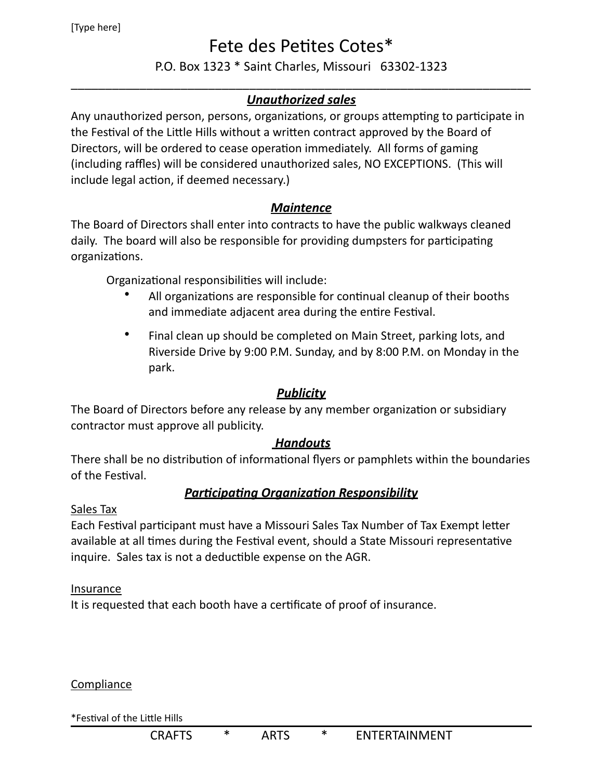# Fete des Petites Cotes\*

### P.O. Box 1323 \* Saint Charles, Missouri 63302-1323

### \_\_\_\_\_\_\_\_\_\_\_\_\_\_\_\_\_\_\_\_\_\_\_\_\_\_\_\_\_\_\_\_\_\_\_\_\_\_\_\_\_\_\_\_\_\_\_\_\_\_\_\_\_\_\_\_\_\_\_\_\_\_\_\_\_\_\_ *Unauthorized sales*

Any unauthorized person, persons, organizations, or groups attempting to participate in the Festival of the Little Hills without a written contract approved by the Board of Directors, will be ordered to cease operation immediately. All forms of gaming (including raffles) will be considered unauthorized sales, NO EXCEPTIONS. (This will include legal action, if deemed necessary.)

### *Maintence*

The Board of Directors shall enter into contracts to have the public walkways cleaned daily. The board will also be responsible for providing dumpsters for participating organizations.

Organizational responsibilities will include:

- All organizations are responsible for continual cleanup of their booths and immediate adjacent area during the entire Festival.
- Final clean up should be completed on Main Street, parking lots, and Riverside Drive by 9:00 P.M. Sunday, and by 8:00 P.M. on Monday in the park.

### *Publicity*

The Board of Directors before any release by any member organization or subsidiary contractor must approve all publicity.

### *Handouts*

There shall be no distribution of informational flyers or pamphlets within the boundaries of the Festival.

### *Participating Organization Responsibility*

#### Sales Tax

Each Festival participant must have a Missouri Sales Tax Number of Tax Exempt letter available at all times during the Festival event, should a State Missouri representative inquire. Sales tax is not a deductible expense on the AGR.

#### Insurance

It is requested that each booth have a certificate of proof of insurance.

#### **Compliance**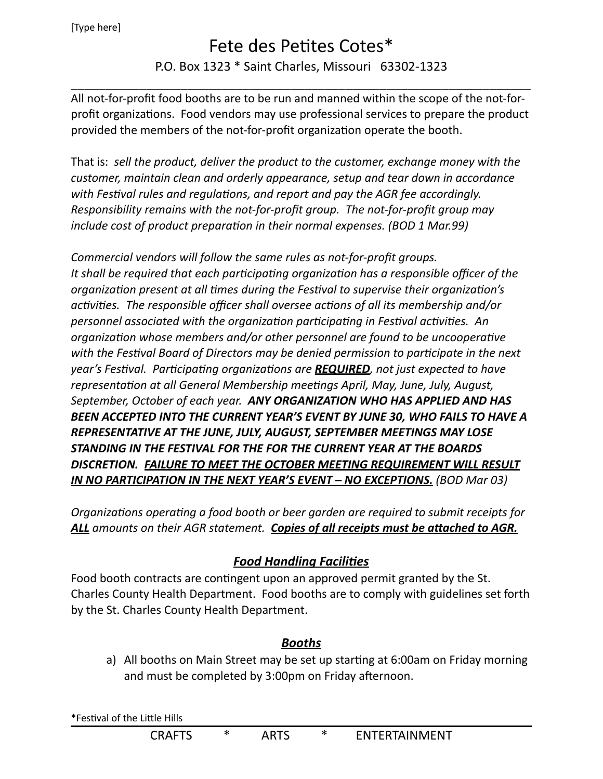[Type here]

# Fete des Petites Cotes\*

## P.O. Box 1323 \* Saint Charles, Missouri 63302-1323 \_\_\_\_\_\_\_\_\_\_\_\_\_\_\_\_\_\_\_\_\_\_\_\_\_\_\_\_\_\_\_\_\_\_\_\_\_\_\_\_\_\_\_\_\_\_\_\_\_\_\_\_\_\_\_\_\_\_\_\_\_\_\_\_\_\_\_

All not-for-profit food booths are to be run and manned within the scope of the not-forprofit organizations. Food vendors may use professional services to prepare the product provided the members of the not-for-profit organization operate the booth.

That is: sell the product, deliver the product to the customer, exchange money with the *customer, maintain clean and orderly appearance, setup and tear down in accordance* with Festival rules and regulations, and report and pay the AGR fee accordingly. *Responsibility remains with the not-for-profit group. The not-for-profit group may include cost of product preparation in their normal expenses. (BOD 1 Mar.99)* 

*Commercial vendors will follow the same rules as not-for-profit groups.* It shall be required that each participating organization has a responsible officer of the *organization present at all times during the Festival to supervise their organization's* activities. The responsible officer shall oversee actions of all its membership and/or *personnel associated with the organization participating in Festival activities. An organization* whose members and/or other personnel are found to be uncooperative with the Festival Board of Directors may be denied permission to participate in the next *year's* Festival. Participating organizations are **REQUIRED**, not just expected to have *representation at all General Membership meetings April, May, June, July, August,* September, October of each year. ANY ORGANIZATION WHO HAS APPLIED AND HAS BEEN ACCEPTED INTO THE CURRENT YEAR'S EVENT BY JUNE 30, WHO FAILS TO HAVE A **REPRESENTATIVE AT THE JUNE, JULY, AUGUST, SEPTEMBER MEETINGS MAY LOSE** STANDING IN THE FESTIVAL FOR THE FOR THE CURRENT YEAR AT THE BOARDS DISCRETION. **FAILURE TO MEET THE OCTOBER MEETING REQUIREMENT WILL RESULT IN NO PARTICIPATION IN THE NEXT YEAR'S EVENT – NO EXCEPTIONS.** (BOD Mar 03)

*Organizations operating a food booth or beer garden are required to submit receipts for* ALL amounts on their AGR statement. Copies of all receipts must be attached to AGR.

## *Food Handling Facilities*

Food booth contracts are contingent upon an approved permit granted by the St. Charles County Health Department. Food booths are to comply with guidelines set forth by the St. Charles County Health Department.

## *Booths*

a) All booths on Main Street may be set up starting at 6:00am on Friday morning and must be completed by 3:00pm on Friday afternoon.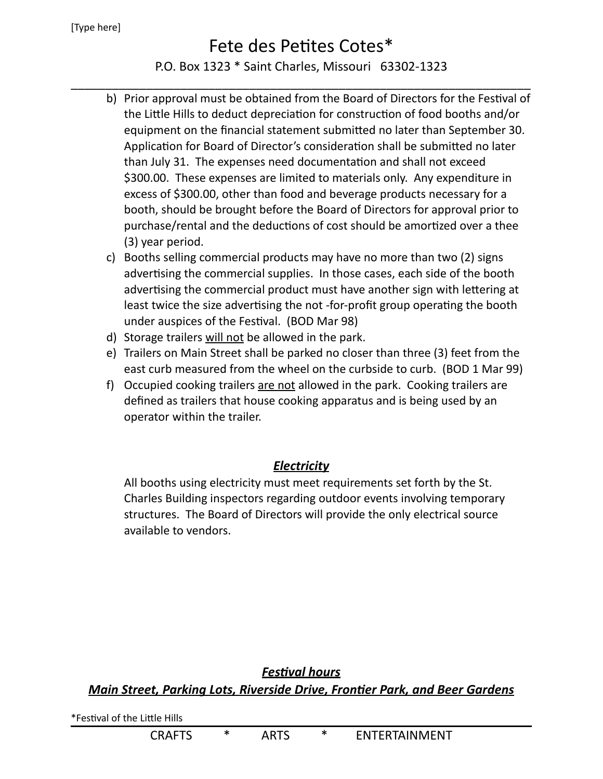#### [Type here]

# Fete des Petites Cotes\*

## P.O. Box 1323 \* Saint Charles, Missouri 63302-1323 \_\_\_\_\_\_\_\_\_\_\_\_\_\_\_\_\_\_\_\_\_\_\_\_\_\_\_\_\_\_\_\_\_\_\_\_\_\_\_\_\_\_\_\_\_\_\_\_\_\_\_\_\_\_\_\_\_\_\_\_\_\_\_\_\_\_\_

- b) Prior approval must be obtained from the Board of Directors for the Festival of the Little Hills to deduct depreciation for construction of food booths and/or equipment on the financial statement submitted no later than September 30. Application for Board of Director's consideration shall be submitted no later than July 31. The expenses need documentation and shall not exceed \$300.00. These expenses are limited to materials only. Any expenditure in excess of \$300.00, other than food and beverage products necessary for a booth, should be brought before the Board of Directors for approval prior to purchase/rental and the deductions of cost should be amortized over a thee (3) year period.
- c) Booths selling commercial products may have no more than two (2) signs advertising the commercial supplies. In those cases, each side of the booth advertising the commercial product must have another sign with lettering at least twice the size advertising the not -for-profit group operating the booth under auspices of the Festival. (BOD Mar 98)
- d) Storage trailers will not be allowed in the park.
- e) Trailers on Main Street shall be parked no closer than three (3) feet from the east curb measured from the wheel on the curbside to curb. (BOD 1 Mar 99)
- f) Occupied cooking trailers are not allowed in the park. Cooking trailers are defined as trailers that house cooking apparatus and is being used by an operator within the trailer.

## *Electricity*

All booths using electricity must meet requirements set forth by the St. Charles Building inspectors regarding outdoor events involving temporary structures. The Board of Directors will provide the only electrical source available to vendors.

*Festival hours Main Street, Parking Lots, Riverside Drive, Frontier Park, and Beer Gardens*